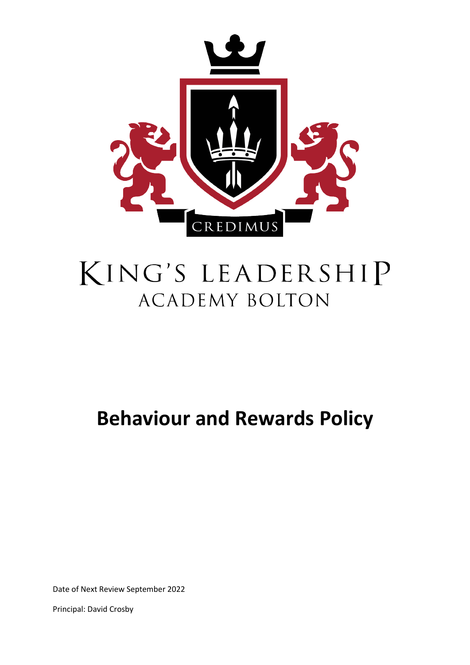

# KING'S LEADERSHIP **ACADEMY BOLTON**

# **Behaviour and Rewards Policy**

Date of Next Review September 2022

Principal: David Crosby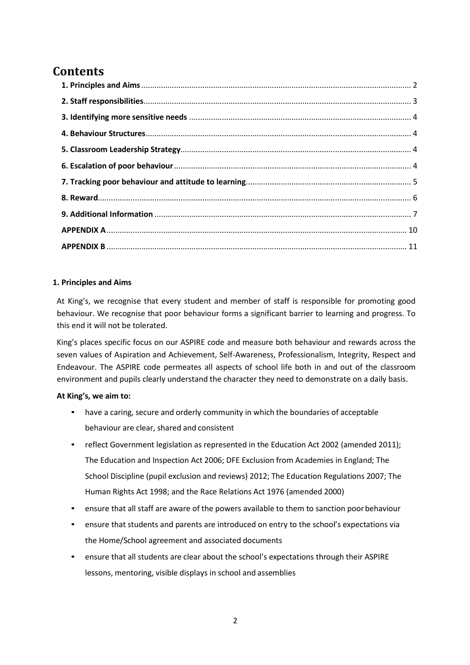# **Contents**

# <span id="page-1-0"></span>**1. Principles and Aims**

At King's, we recognise that every student and member of staff is responsible for promoting good behaviour. We recognise that poor behaviour forms a significant barrier to learning and progress. To this end it will not be tolerated.

King's places specific focus on our ASPIRE code and measure both behaviour and rewards across the seven values of Aspiration and Achievement, Self-Awareness, Professionalism, Integrity, Respect and Endeavour. The ASPIRE code permeates all aspects of school life both in and out of the classroom environment and pupils clearly understand the character they need to demonstrate on a daily basis.

# **At King's, we aim to:**

- have a caring, secure and orderly community in which the boundaries of acceptable behaviour are clear, shared and consistent
- reflect Government legislation as represented in the Education Act 2002 (amended 2011); The Education and Inspection Act 2006; DFE Exclusion from Academies in England; The School Discipline (pupil exclusion and reviews) 2012; The Education Regulations 2007; The Human Rights Act 1998; and the Race Relations Act 1976 (amended 2000)
- ensure that all staff are aware of the powers available to them to sanction poor behaviour
- ensure that students and parents are introduced on entry to the school's expectations via the Home/School agreement and associated documents
- ensure that all students are clear about the school's expectations through their ASPIRE lessons, mentoring, visible displays in school and assemblies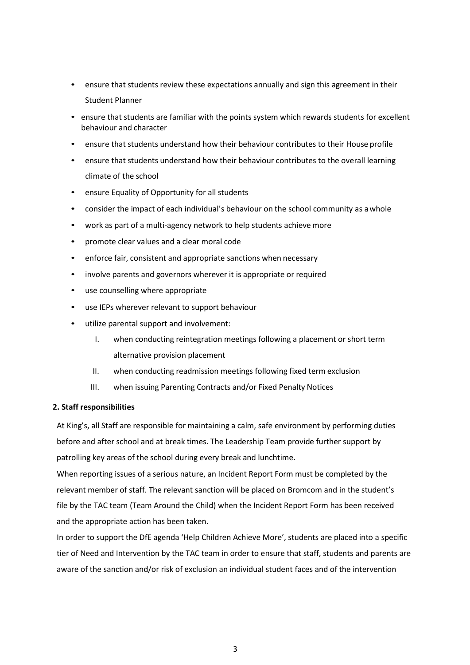- ensure that students review these expectations annually and sign this agreement in their Student Planner
- ensure that students are familiar with the points system which rewards students for excellent behaviour and character
- ensure that students understand how their behaviour contributes to their House profile
- ensure that students understand how their behaviour contributes to the overall learning climate of the school
- ensure Equality of Opportunity for all students
- consider the impact of each individual's behaviour on the school community as awhole
- work as part of a multi-agency network to help students achieve more
- promote clear values and a clear moral code
- enforce fair, consistent and appropriate sanctions when necessary
- involve parents and governors wherever it is appropriate or required
- use counselling where appropriate
- use IEPs wherever relevant to support behaviour
- utilize parental support and involvement:
	- I. when conducting reintegration meetings following a placement or short term alternative provision placement
	- II. when conducting readmission meetings following fixed term exclusion
	- III. when issuing Parenting Contracts and/or Fixed Penalty Notices

# <span id="page-2-0"></span>**2. Staff responsibilities**

At King's, all Staff are responsible for maintaining a calm, safe environment by performing duties before and after school and at break times. The Leadership Team provide further support by patrolling key areas of the school during every break and lunchtime.

When reporting issues of a serious nature, an Incident Report Form must be completed by the relevant member of staff. The relevant sanction will be placed on Bromcom and in the student's file by the TAC team (Team Around the Child) when the Incident Report Form has been received and the appropriate action has been taken.

In order to support the DfE agenda 'Help Children Achieve More', students are placed into a specific tier of Need and Intervention by the TAC team in order to ensure that staff, students and parents are aware of the sanction and/or risk of exclusion an individual student faces and of the intervention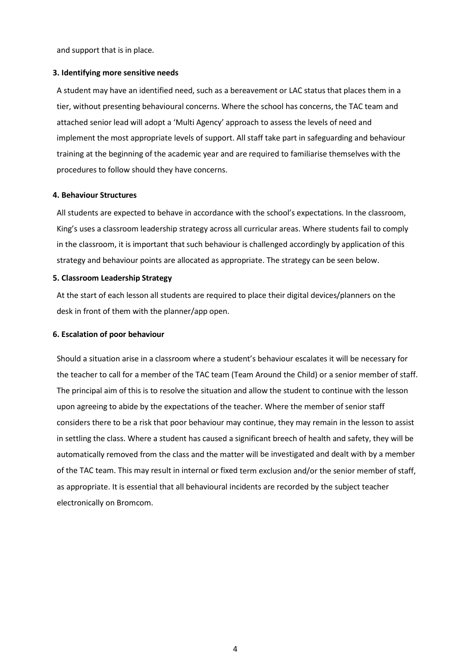and support that is in place.

#### <span id="page-3-0"></span>**3. Identifying more sensitive needs**

A student may have an identified need, such as a bereavement or LAC status that places them in a tier, without presenting behavioural concerns. Where the school has concerns, the TAC team and attached senior lead will adopt a 'Multi Agency' approach to assess the levels of need and implement the most appropriate levels of support. All staff take part in safeguarding and behaviour training at the beginning of the academic year and are required to familiarise themselves with the procedures to follow should they have concerns.

#### <span id="page-3-1"></span>**4. Behaviour Structures**

All students are expected to behave in accordance with the school's expectations. In the classroom, King's uses a classroom leadership strategy across all curricular areas. Where students fail to comply in the classroom, it is important that such behaviour is challenged accordingly by application of this strategy and behaviour points are allocated as appropriate. The strategy can be seen below.

#### <span id="page-3-2"></span>**5. Classroom Leadership Strategy**

At the start of each lesson all students are required to place their digital devices/planners on the desk in front of them with the planner/app open.

#### <span id="page-3-3"></span>**6. Escalation of poor behaviour**

Should a situation arise in a classroom where a student's behaviour escalates it will be necessary for the teacher to call for a member of the TAC team (Team Around the Child) or a senior member of staff. The principal aim of this is to resolve the situation and allow the student to continue with the lesson upon agreeing to abide by the expectations of the teacher. Where the member of senior staff considers there to be a risk that poor behaviour may continue, they may remain in the lesson to assist in settling the class. Where a student has caused a significant breech of health and safety, they will be automatically removed from the class and the matter will be investigated and dealt with by a member of the TAC team. This may result in internal or fixed term exclusion and/or the senior member of staff, as appropriate. It is essential that all behavioural incidents are recorded by the subject teacher electronically on Bromcom.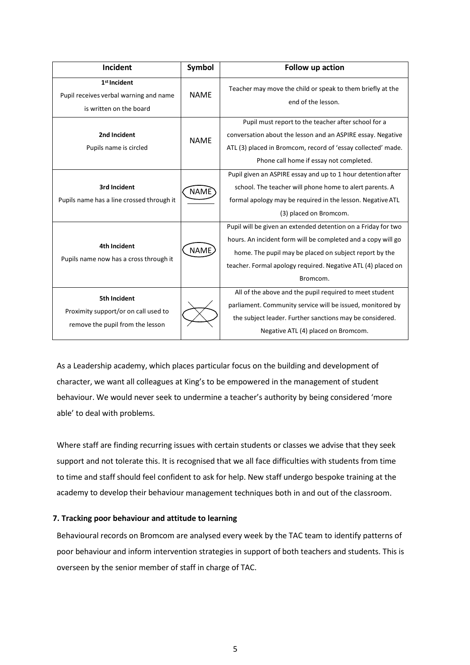| Incident                                                                                        | <b>Symbol</b> | Follow up action                                                                                                                                                                                                                                                    |
|-------------------------------------------------------------------------------------------------|---------------|---------------------------------------------------------------------------------------------------------------------------------------------------------------------------------------------------------------------------------------------------------------------|
| 1 <sup>st</sup> Incident<br>Pupil receives verbal warning and name<br>is written on the board   | <b>NAME</b>   | Teacher may move the child or speak to them briefly at the<br>end of the lesson.                                                                                                                                                                                    |
| 2nd Incident<br>Pupils name is circled                                                          | <b>NAME</b>   | Pupil must report to the teacher after school for a<br>conversation about the lesson and an ASPIRE essay. Negative<br>ATL (3) placed in Bromcom, record of 'essay collected' made.<br>Phone call home if essay not completed.                                       |
| 3rd Incident<br>Pupils name has a line crossed through it                                       | <b>NAME</b>   | Pupil given an ASPIRE essay and up to 1 hour detention after<br>school. The teacher will phone home to alert parents. A<br>formal apology may be required in the lesson. Negative ATL<br>(3) placed on Bromcom.                                                     |
| 4th Incident<br>Pupils name now has a cross through it                                          | <b>NAME</b>   | Pupil will be given an extended detention on a Friday for two<br>hours. An incident form will be completed and a copy will go<br>home. The pupil may be placed on subject report by the<br>teacher. Formal apology required. Negative ATL (4) placed on<br>Bromcom. |
| <b>5th Incident</b><br>Proximity support/or on call used to<br>remove the pupil from the lesson |               | All of the above and the pupil required to meet student<br>parliament. Community service will be issued, monitored by<br>the subject leader. Further sanctions may be considered.<br>Negative ATL (4) placed on Bromcom.                                            |

As a Leadership academy, which places particular focus on the building and development of character, we want all colleagues at King's to be empowered in the management of student behaviour. We would never seek to undermine a teacher's authority by being considered 'more able' to deal with problems.

Where staff are finding recurring issues with certain students or classes we advise that they seek support and not tolerate this. It is recognised that we all face difficulties with students from time to time and staff should feel confident to ask for help. New staff undergo bespoke training at the academy to develop their behaviour management techniques both in and out of the classroom.

# <span id="page-4-0"></span>**7. Tracking poor behaviour and attitude to learning**

Behavioural records on Bromcom are analysed every week by the TAC team to identify patterns of poor behaviour and inform intervention strategies in support of both teachers and students. This is overseen by the senior member of staff in charge of TAC.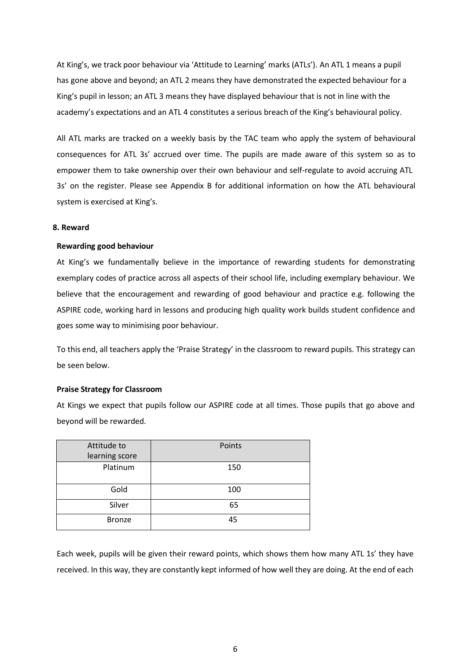At King's, we track poor behaviour via 'Attitude to Learning' marks (ATLs'). An ATL 1 means a pupil has gone above and beyond; an ATL 2 means they have demonstrated the expected behaviour for a King's pupil in lesson; an ATL 3 means they have displayed behaviour that is not in line with the academy's expectations and an ATL 4 constitutes a serious breach of the King's behavioural policy.

All ATL marks are tracked on a weekly basis by the TAC team who apply the system of behavioural consequences for ATL 3s' accrued over time. The pupils are made aware of this system so as to empower them to take ownership over their own behaviour and self-regulate to avoid accruing ATL 3s' on the register. Please see Appendix B for additional information on how the ATL behavioural system is exercised at King's.

#### <span id="page-5-0"></span>**8. Reward**

#### **Rewarding good behaviour**

At King's we fundamentally believe in the importance of rewarding students for demonstrating exemplary codes of practice across all aspects of their school life, including exemplary behaviour. We believe that the encouragement and rewarding of good behaviour and practice e.g. following the ASPIRE code, working hard in lessons and producing high quality work builds student confidence and goes some way to minimising poor behaviour.

To this end, all teachers apply the 'Praise Strategy' in the classroom to reward pupils. This strategy can be seen below.

#### **Praise Strategy for Classroom**

At Kings we expect that pupils follow our ASPIRE code at all times. Those pupils that go above and beyond will be rewarded.

| Attitude to<br>learning score | Points |
|-------------------------------|--------|
| Platinum                      | 150    |
| Gold                          | 100    |
| Silver                        | 65     |
| <b>Bronze</b>                 | 45     |

Each week, pupils will be given their reward points, which shows them how many ATL 1s' they have received. In this way, they are constantly kept informed of how well they are doing. At the end of each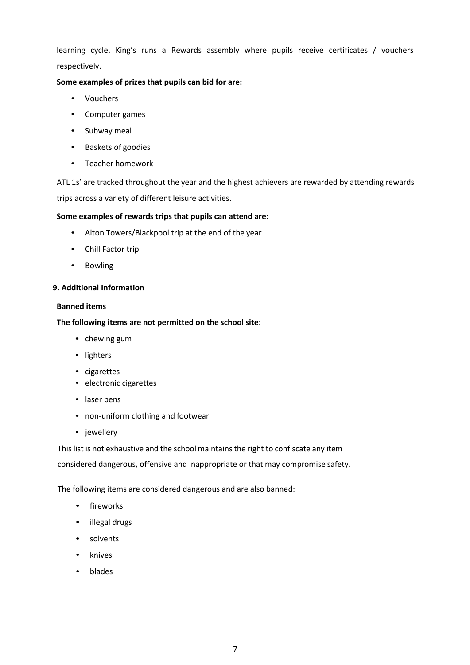learning cycle, King's runs a Rewards assembly where pupils receive certificates / vouchers respectively.

# **Some examples of prizes that pupils can bid for are:**

- Vouchers
- Computer games
- Subway meal
- Baskets of goodies
- Teacher homework

ATL 1s' are tracked throughout the year and the highest achievers are rewarded by attending rewards trips across a variety of different leisure activities.

# **Some examples of rewards trips that pupils can attend are:**

- Alton Towers/Blackpool trip at the end of the year
- Chill Factor trip
- Bowling

# <span id="page-6-0"></span>**9. Additional Information**

# **Banned items**

# **The following items are not permitted on the school site:**

- chewing gum
- lighters
- cigarettes
- electronic cigarettes
- laser pens
- non-uniform clothing and footwear
- jewellery

This list is not exhaustive and the school maintains the right to confiscate any item

considered dangerous, offensive and inappropriate or that may compromise safety.

The following items are considered dangerous and are also banned:

- fireworks
- illegal drugs
- solvents
- knives
- blades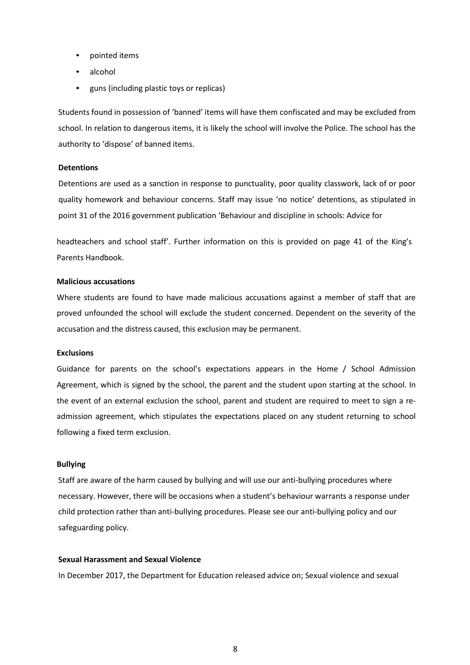- pointed items
- alcohol
- guns (including plastic toys or replicas)

Students found in possession of 'banned' items will have them confiscated and may be excluded from school. In relation to dangerous items, it is likely the school will involve the Police. The school has the authority to 'dispose' of banned items.

# **Detentions**

Detentions are used as a sanction in response to punctuality, poor quality classwork, lack of or poor quality homework and behaviour concerns. Staff may issue 'no notice' detentions, as stipulated in point 31 of the 2016 government publication 'Behaviour and discipline in schools: Advice for

headteachers and school staff'. Further information on this is provided on page 41 of the King's Parents Handbook.

#### **Malicious accusations**

Where students are found to have made malicious accusations against a member of staff that are proved unfounded the school will exclude the student concerned. Dependent on the severity of the accusation and the distress caused, this exclusion may be permanent.

#### **Exclusions**

Guidance for parents on the school's expectations appears in the Home / School Admission Agreement, which is signed by the school, the parent and the student upon starting at the school. In the event of an external exclusion the school, parent and student are required to meet to sign a readmission agreement, which stipulates the expectations placed on any student returning to school following a fixed term exclusion.

#### **Bullying**

Staff are aware of the harm caused by bullying and will use our anti-bullying procedures where necessary. However, there will be occasions when a student's behaviour warrants a response under child protection rather than anti-bullying procedures. Please see our anti-bullying policy and our safeguarding policy.

## **Sexual Harassment and Sexual Violence**

In December 2017, the Department for Education released advice on; Sexual violence and sexual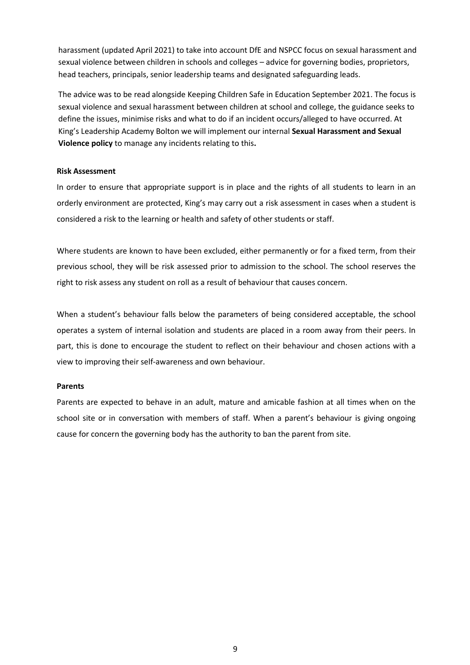harassment (updated April 2021) to take into account DfE and NSPCC focus on sexual harassment and sexual violence between children in schools and colleges – advice for governing bodies, proprietors, head teachers, principals, senior leadership teams and designated safeguarding leads.

The advice was to be read alongside Keeping Children Safe in Education September 2021. The focus is sexual violence and sexual harassment between children at school and college, the guidance seeks to define the issues, minimise risks and what to do if an incident occurs/alleged to have occurred. At King's Leadership Academy Bolton we will implement our internal **Sexual Harassment and Sexual Violence policy** to manage any incidents relating to this**.** 

#### **Risk Assessment**

In order to ensure that appropriate support is in place and the rights of all students to learn in an orderly environment are protected, King's may carry out a risk assessment in cases when a student is considered a risk to the learning or health and safety of other students or staff.

Where students are known to have been excluded, either permanently or for a fixed term, from their previous school, they will be risk assessed prior to admission to the school. The school reserves the right to risk assess any student on roll as a result of behaviour that causes concern.

When a student's behaviour falls below the parameters of being considered acceptable, the school operates a system of internal isolation and students are placed in a room away from their peers. In part, this is done to encourage the student to reflect on their behaviour and chosen actions with a view to improving their self-awareness and own behaviour.

# **Parents**

Parents are expected to behave in an adult, mature and amicable fashion at all times when on the school site or in conversation with members of staff. When a parent's behaviour is giving ongoing cause for concern the governing body has the authority to ban the parent from site.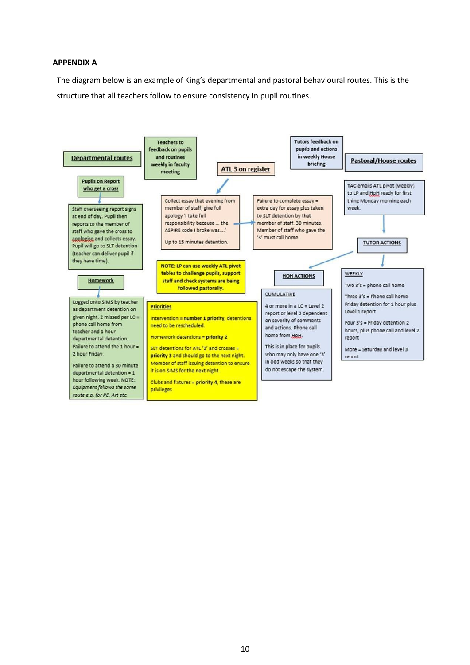#### <span id="page-9-0"></span>**APPENDIX A**

The diagram below is an example of King's departmental and pastoral behavioural routes. This is the structure that all teachers follow to ensure consistency in pupil routines.